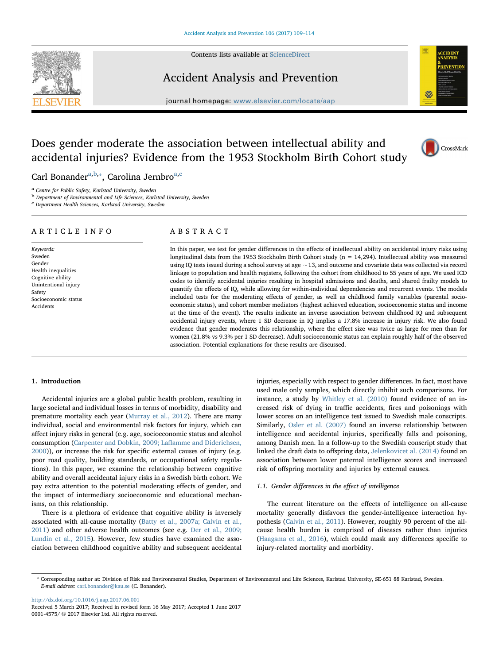Contents lists available at [ScienceDirect](http://www.sciencedirect.com/science/journal/00014575)



# Accident Analysis and Prevention



journal homepage: [www.elsevier.com/locate/aap](http://www.elsevier.com/locate/aap)

# Does gender moderate the association between intellectual ability and accidental injuries? Evidence from the 1953 Stockholm Birth Cohort study



C[a](#page-0-0)rl Bonander<sup>a[,b,](#page-0-1)\*</sup>, Carolina Jernbro<sup>[a,](#page-0-0)[c](#page-0-3)</sup>

<span id="page-0-0"></span><sup>a</sup> Centre for Public Safety, Karlstad University, Sweden

<span id="page-0-1"></span>b Department of Environmental and Life Sciences, Karlstad University, Sweden

<span id="page-0-3"></span> $\rm ^c$  Department Health Sciences, Karlstad University, Sweden

# ARTICLE INFO

Keywords: Sweden Gender Health inequalities Cognitive ability Unintentional injury Safety Socioeconomic status Accidents

# ABSTRACT

In this paper, we test for gender differences in the effects of intellectual ability on accidental injury risks using longitudinal data from the 1953 Stockholm Birth Cohort study ( $n = 14,294$ ). Intellectual ability was measured using IQ tests issued during a school survey at age ∼13, and outcome and covariate data was collected via record linkage to population and health registers, following the cohort from childhood to 55 years of age. We used ICD codes to identify accidental injuries resulting in hospital admissions and deaths, and shared frailty models to quantify the effects of IQ, while allowing for within-individual dependencies and recurrent events. The models included tests for the moderating effects of gender, as well as childhood family variables (parental socioeconomic status), and cohort member mediators (highest achieved education, socioeconomic status and income at the time of the event). The results indicate an inverse association between childhood IQ and subsequent accidental injury events, where 1 SD decrease in IQ implies a 17.8% increase in injury risk. We also found evidence that gender moderates this relationship, where the effect size was twice as large for men than for women (21.8% vs 9.3% per 1 SD decrease). Adult socioeconomic status can explain roughly half of the observed association. Potential explanations for these results are discussed.

# 1. Introduction

Accidental injuries are a global public health problem, resulting in large societal and individual losses in terms of morbidity, disability and premature mortality each year [\(Murray et al., 2012\)](#page-5-0). There are many individual, social and environmental risk factors for injury, which can affect injury risks in general (e.g. age, socioeconomic status and alcohol consumption [\(Carpenter and Dobkin, 2009; La](#page-5-1)flamme and Diderichsen, [2000\)](#page-5-1)), or increase the risk for specific external causes of injury (e.g. poor road quality, building standards, or occupational safety regulations). In this paper, we examine the relationship between cognitive ability and overall accidental injury risks in a Swedish birth cohort. We pay extra attention to the potential moderating effects of gender, and the impact of intermediary socioeconomic and educational mechanisms, on this relationship.

There is a plethora of evidence that cognitive ability is inversely associated with all-cause mortality ([Batty et al., 2007a; Calvin et al.,](#page-5-2) [2011\)](#page-5-2) and other adverse health outcomes (see e.g. [Der et al., 2009;](#page-5-3) [Lundin et al., 2015](#page-5-3)). However, few studies have examined the association between childhood cognitive ability and subsequent accidental

injuries, especially with respect to gender differences. In fact, most have used male only samples, which directly inhibit such comparisons. For instance, a study by [Whitley et al. \(2010\)](#page-5-4) found evidence of an increased risk of dying in traffic accidents, fires and poisonings with lower scores on an intelligence test issued to Swedish male conscripts. Similarly, [Osler et al. \(2007\)](#page-5-5) found an inverse relationship between intelligence and accidental injuries, specifically falls and poisoning, among Danish men. In a follow-up to the Swedish conscript study that linked the draft data to offspring data, [Jelenkovicet al. \(2014\)](#page-5-6) found an association between lower paternal intelligence scores and increased risk of offspring mortality and injuries by external causes.

## 1.1. Gender differences in the effect of intelligence

The current literature on the effects of intelligence on all-cause mortality generally disfavors the gender-intelligence interaction hypothesis [\(Calvin et al., 2011](#page-5-7)). However, roughly 90 percent of the allcause health burden is comprised of diseases rather than injuries ([Haagsma et al., 2016\)](#page-5-8), which could mask any differences specific to injury-related mortality and morbidity.

<http://dx.doi.org/10.1016/j.aap.2017.06.001> Received 5 March 2017; Received in revised form 16 May 2017; Accepted 1 June 2017 0001-4575/ © 2017 Elsevier Ltd. All rights reserved.

<span id="page-0-2"></span><sup>⁎</sup> Corresponding author at: Division of Risk and Environmental Studies, Department of Environmental and Life Sciences, Karlstad University, SE-651 88 Karlstad, Sweden. E-mail address: [carl.bonander@kau.se](mailto:carl.bonander@kau.se) (C. Bonander).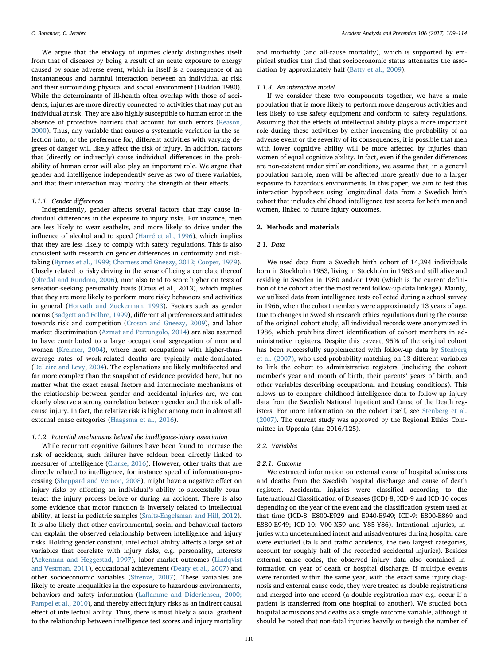We argue that the etiology of injuries clearly distinguishes itself from that of diseases by being a result of an acute exposure to energy caused by some adverse event, which in itself is a consequence of an instantaneous and harmful interaction between an individual at risk and their surrounding physical and social environment (Haddon 1980). While the determinants of ill-health often overlap with those of accidents, injuries are more directly connected to activities that may put an individual at risk. They are also highly susceptible to human error in the absence of protective barriers that account for such errors [\(Reason,](#page-5-9) [2000\)](#page-5-9). Thus, any variable that causes a systematic variation in the selection into, or the preference for, different activities with varying degrees of danger will likely affect the risk of injury. In addition, factors that (directly or indirectly) cause individual differences in the probability of human error will also play an important role. We argue that gender and intelligence independently serve as two of these variables, and that their interaction may modify the strength of their effects.

## 1.1.1. Gender differences

Independently, gender affects several factors that may cause individual differences in the exposure to injury risks. For instance, men are less likely to wear seatbelts, and more likely to drive under the influence of alcohol and to speed ([Harré et al., 1996](#page-5-10)), which implies that they are less likely to comply with safety regulations. This is also consistent with research on gender differences in conformity and risktaking ([Byrnes et al., 1999; Charness and Gneezy, 2012; Cooper, 1979](#page-5-11)). Closely related to risky driving in the sense of being a correlate thereof ([Oltedal and Rundmo, 2006\)](#page-5-12), men also tend to score higher on tests of sensation-seeking personality traits (Cross et al., 2013), which implies that they are more likely to perform more risky behaviors and activities in general [\(Horvath and Zuckerman, 1993\)](#page-5-13). Factors such as gender norms [\(Badgett and Folbre, 1999\)](#page-5-14), differential preferences and attitudes towards risk and competition [\(Croson and Gneezy, 2009](#page-5-15)), and labor market discrimination [\(Azmat and Petrongolo, 2014](#page-5-16)) are also assumed to have contributed to a large occupational segregation of men and women [\(Kreimer, 2004\)](#page-5-17), where most occupations with higher-thanaverage rates of work-related deaths are typically male-dominated ([DeLeire and Levy, 2004](#page-5-18)). The explanations are likely multifaceted and far more complex than the snapshot of evidence provided here, but no matter what the exact causal factors and intermediate mechanisms of the relationship between gender and accidental injuries are, we can clearly observe a strong correlation between gender and the risk of allcause injury. In fact, the relative risk is higher among men in almost all external cause categories [\(Haagsma et al., 2016\)](#page-5-8).

# 1.1.2. Potential mechanisms behind the intelligence-injury association

While recurrent cognitive failures have been found to increase the risk of accidents, such failures have seldom been directly linked to measures of intelligence ([Clarke, 2016\)](#page-5-19). However, other traits that are directly related to intelligence, for instance speed of information-processing [\(Sheppard and Vernon, 2008](#page-5-20)), might have a negative effect on injury risks by affecting an individual's ability to successfully counteract the injury process before or during an accident. There is also some evidence that motor function is inversely related to intellectual ability, at least in pediatric samples ([Smits-Engelsman and Hill, 2012](#page-5-21)). It is also likely that other environmental, social and behavioral factors can explain the observed relationship between intelligence and injury risks. Holding gender constant, intellectual ability affects a large set of variables that correlate with injury risks, e.g. personality, interests ([Ackerman and Heggestad, 1997\)](#page-5-22), labor market outcomes [\(Lindqvist](#page-5-23) [and Vestman, 2011\)](#page-5-23), educational achievement ([Deary et al., 2007](#page-5-24)) and other socioeconomic variables [\(Strenze, 2007\)](#page-5-25). These variables are likely to create inequalities in the exposure to hazardous environments, behaviors and safety information (Lafl[amme and Diderichsen, 2000;](#page-5-26) [Pampel et al., 2010\)](#page-5-26), and thereby affect injury risks as an indirect causal effect of intellectual ability. Thus, there is most likely a social gradient to the relationship between intelligence test scores and injury mortality

and morbidity (and all-cause mortality), which is supported by empirical studies that find that socioeconomic status attenuates the association by approximately half ([Batty et al., 2009\)](#page-5-27).

#### 1.1.3. An interactive model

If we consider these two components together, we have a male population that is more likely to perform more dangerous activities and less likely to use safety equipment and conform to safety regulations. Assuming that the effects of intellectual ability plays a more important role during these activities by either increasing the probability of an adverse event or the severity of its consequences, it is possible that men with lower cognitive ability will be more affected by injuries than women of equal cognitive ability. In fact, even if the gender differences are non-existent under similar conditions, we assume that, in a general population sample, men will be affected more greatly due to a larger exposure to hazardous environments. In this paper, we aim to test this interaction hypothesis using longitudinal data from a Swedish birth cohort that includes childhood intelligence test scores for both men and women, linked to future injury outcomes.

#### 2. Methods and materials

### 2.1. Data

We used data from a Swedish birth cohort of 14,294 individuals born in Stockholm 1953, living in Stockholm in 1963 and still alive and residing in Sweden in 1980 and/or 1990 (which is the current definition of the cohort after the most recent follow-up data linkage). Mainly, we utilized data from intelligence tests collected during a school survey in 1966, when the cohort members were approximately 13 years of age. Due to changes in Swedish research ethics regulations during the course of the original cohort study, all individual records were anonymized in 1986, which prohibits direct identification of cohort members in administrative registers. Despite this caveat, 95% of the original cohort has been successfully supplemented with follow-up data by [Stenberg](#page-5-28) [et al. \(2007\)](#page-5-28), who used probability matching on 13 different variables to link the cohort to administrative registers (including the cohort member's year and month of birth, their parents' years of birth, and other variables describing occupational and housing conditions). This allows us to compare childhood intelligence data to follow-up injury data from the Swedish National Inpatient and Cause of the Death registers. For more information on the cohort itself, see [Stenberg et al.](#page-5-28) [\(2007\).](#page-5-28) The current study was approved by the Regional Ethics Committee in Uppsala (dnr 2016/125).

# 2.2. Variables

#### 2.2.1. Outcome

We extracted information on external cause of hospital admissions and deaths from the Swedish hospital discharge and cause of death registers. Accidental injuries were classified according to the International Classification of Diseases (ICD)-8, ICD-9 and ICD-10 codes depending on the year of the event and the classification system used at that time (ICD-8: E800-E929 and E940-E949; ICD-9: E800-E869 and E880-E949; ICD-10: V00-X59 and Y85-Y86). Intentional injuries, injuries with undetermined intent and misadventures during hospital care were excluded (falls and traffic accidents, the two largest categories, account for roughly half of the recorded accidental injuries). Besides external cause codes, the observed injury data also contained information on year of death or hospital discharge. If multiple events were recorded within the same year, with the exact same injury diagnosis and external cause code, they were treated as double registrations and merged into one record (a double registration may e.g. occur if a patient is transferred from one hospital to another). We studied both hospital admissions and deaths as a single outcome variable, although it should be noted that non-fatal injuries heavily outweigh the number of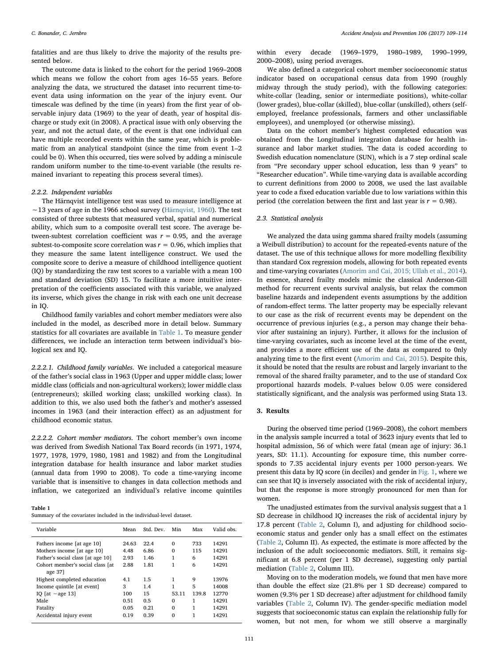fatalities and are thus likely to drive the majority of the results presented below.

The outcome data is linked to the cohort for the period 1969–2008 which means we follow the cohort from ages 16–55 years. Before analyzing the data, we structured the dataset into recurrent time-toevent data using information on the year of the injury event. Our timescale was defined by the time (in years) from the first year of observable injury data (1969) to the year of death, year of hospital discharge or study exit (in 2008). A practical issue with only observing the year, and not the actual date, of the event is that one individual can have multiple recorded events within the same year, which is problematic from an analytical standpoint (since the time from event 1–2 could be 0). When this occurred, ties were solved by adding a miniscule random uniform number to the time-to-event variable (the results remained invariant to repeating this process several times).

# 2.2.2. Independent variables

The Härnqvist intelligence test was used to measure intelligence at ∼13 years of age in the 1966 school survey [\(Härnqvist, 1960](#page-5-29)). The test consisted of three subtests that measured verbal, spatial and numerical ability, which sum to a composite overall test score. The average between-subtest correlation coefficient was  $r = 0.95$ , and the average subtest-to-composite score correlation was  $r = 0.96$ , which implies that they measure the same latent intelligence construct. We used the composite score to derive a measure of childhood intelligence quotient (IQ) by standardizing the raw test scores to a variable with a mean 100 and standard deviation (SD) 15. To facilitate a more intuitive interpretation of the coefficients associated with this variable, we analyzed its inverse, which gives the change in risk with each one unit decrease in IQ.

Childhood family variables and cohort member mediators were also included in the model, as described more in detail below. Summary statistics for all covariates are available in [Table 1](#page-2-0). To measure gender differences, we include an interaction term between individual's biological sex and IQ.

2.2.2.1. Childhood family variables. We included a categorical measure of the father's social class in 1963 (Upper and upper middle class; lower middle class (officials and non-agricultural workers); lower middle class (entrepreneurs); skilled working class; unskilled working class). In addition to this, we also used both the father's and mother's assessed incomes in 1963 (and their interaction effect) as an adjustment for childhood economic status.

2.2.2.2. Cohort member mediators. The cohort member's own income was derived from Swedish National Tax Board records (in 1971, 1974, 1977, 1978, 1979, 1980, 1981 and 1982) and from the Longitudinal integration database for health insurance and labor market studies (annual data from 1990 to 2008). To code a time-varying income variable that is insensitive to changes in data collection methods and inflation, we categorized an individual's relative income quintiles

<span id="page-2-0"></span>

| Table |  |
|-------|--|
|-------|--|

| tavic t                                                             |  |  |  |
|---------------------------------------------------------------------|--|--|--|
| Summary of the covariates included in the individual-level dataset. |  |  |  |

| Variable                          | Mean  | Std. Dev. | Min      | Max   | Valid obs. |
|-----------------------------------|-------|-----------|----------|-------|------------|
| Fathers income [at age 10]        | 24.63 | 22.4      | $\Omega$ | 733   | 14291      |
| Mothers income [at age 10]        | 4.48  | 6.86      | $\Omega$ | 115   | 14291      |
| Father's social class [at age 10] | 2.93  | 1.46      | 1        | 6     | 14291      |
| Cohort member's social class lat  | 2.88  | 1.81      | 1        | 6     | 14291      |
| age 371                           |       |           |          |       |            |
| Highest completed education       | 4.1   | 1.5       | 1        | 9     | 13976      |
| Income quintile [at event]        | 3     | 1.4       | 1        | 5     | 14008      |
| IQ [at $\sim$ age 13]             | 100   | 15        | 53.11    | 139.8 | 12770      |
| Male                              | 0.51  | 0.5       | $\Omega$ | 1     | 14291      |
| Fatality                          | 0.05  | 0.21      | $\Omega$ | 1     | 14291      |
| Accidental injury event           | 0.19  | 0.39      | $\Omega$ | 1     | 14291      |
|                                   |       |           |          |       |            |

within every decade (1969–1979, 1980–1989, 1990–1999, 2000–2008), using period averages.

We also defined a categorical cohort member socioeconomic status indicator based on occupational census data from 1990 (roughly midway through the study period), with the following categories: white-collar (leading, senior or intermediate positions), white-collar (lower grades), blue-collar (skilled), blue-collar (unskilled), others (selfemployed, freelance professionals, farmers and other unclassifiable employees), and unemployed (or otherwise missing).

Data on the cohort member's highest completed education was obtained from the Longitudinal integration database for health insurance and labor market studies. The data is coded according to Swedish education nomenclature (SUN), which is a 7 step ordinal scale from "Pre secondary upper school education, less than 9 years" to "Researcher education". While time-varying data is available according to current definitions from 2000 to 2008, we used the last available year to code a fixed education variable due to low variations within this period (the correlation between the first and last year is  $r = 0.98$ ).

#### 2.3. Statistical analysis

We analyzed the data using gamma shared frailty models (assuming a Weibull distribution) to account for the repeated-events nature of the dataset. The use of this technique allows for more modelling flexibility than standard Cox regression models, allowing for both repeated events and time-varying covariates [\(Amorim and Cai, 2015; Ullah et al., 2014](#page-5-30)). In essence, shared frailty models mimic the classical Anderson-Gill method for recurrent events survival analysis, but relax the common baseline hazards and independent events assumptions by the addition of random-effect terms. The latter property may be especially relevant to our case as the risk of recurrent events may be dependent on the occurrence of previous injuries (e.g., a person may change their behavior after sustaining an injury). Further, it allows for the inclusion of time-varying covariates, such as income level at the time of the event, and provides a more efficient use of the data as compared to 0nly analyzing time to the first event ([Amorim and Cai, 2015](#page-5-30)). Despite this, it should be noted that the results are robust and largely invariant to the removal of the shared frailty parameter, and to the use of standard Cox proportional hazards models. P-values below 0.05 were considered statistically significant, and the analysis was performed using Stata 13.

### 3. Results

During the observed time period (1969–2008), the cohort members in the analysis sample incurred a total of 3623 injury events that led to hospital admission, 56 of which were fatal (mean age of injury: 36.1 years, SD: 11.1). Accounting for exposure time, this number corresponds to 7.35 accidental injury events per 1000 person-years. We present this data by IQ score (in deciles) and gender in [Fig. 1](#page-3-0), where we can see that IQ is inversely associated with the risk of accidental injury, but that the response is more strongly pronounced for men than for women.

The unadjusted estimates from the survival analysis suggest that a 1 SD decrease in childhood IQ increases the risk of accidental injury by 17.8 percent [\(Table 2,](#page-3-1) Column I), and adjusting for childhood socioeconomic status and gender only has a small effect on the estimates ([Table 2](#page-3-1), Column II). As expected, the estimate is more affected by the inclusion of the adult socioeconomic mediators. Still, it remains significant at 6.8 percent (per 1 SD decrease), suggesting only partial mediation ([Table 2,](#page-3-1) Column III).

Moving on to the moderation models, we found that men have more than double the effect size (21.8% per 1 SD decrease) compared to women (9.3% per 1 SD decrease) after adjustment for childhood family variables ([Table 2,](#page-3-1) Column IV). The gender-specific mediation model suggests that socioeconomic status can explain the relationship fully for women, but not men, for whom we still observe a marginally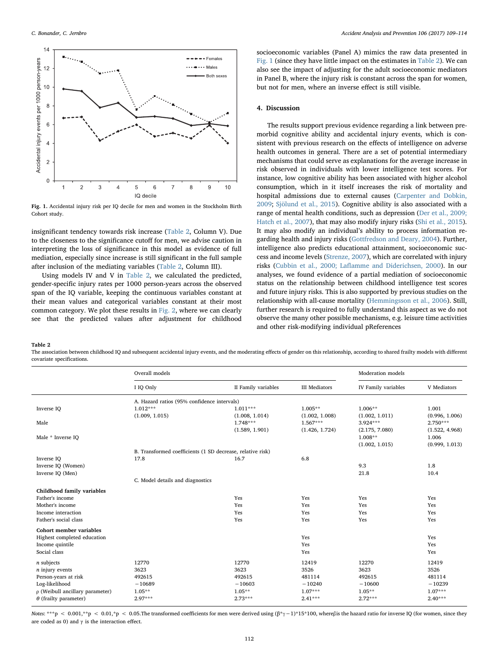<span id="page-3-0"></span>

Fig. 1. Accidental injury risk per IQ decile for men and women in the Stockholm Birth Cohort study.

insignificant tendency towards risk increase ([Table 2](#page-3-1), Column V). Due to the closeness to the significance cutoff for men, we advise caution in interpreting the loss of significance in this model as evidence of full mediation, especially since increase is still significant in the full sample after inclusion of the mediating variables [\(Table 2,](#page-3-1) Column III).

Using models IV and V in [Table 2,](#page-3-1) we calculated the predicted, gender-specific injury rates per 1000 person-years across the observed span of the IQ variable, keeping the continuous variables constant at their mean values and categorical variables constant at their most common category. We plot these results in [Fig. 2,](#page-4-0) where we can clearly see that the predicted values after adjustment for childhood

socioeconomic variables (Panel A) mimics the raw data presented in [Fig. 1](#page-3-0) (since they have little impact on the estimates in [Table 2\)](#page-3-1). We can also see the impact of adjusting for the adult socioeconomic mediators in Panel B, where the injury risk is constant across the span for women, but not for men, where an inverse effect is still visible.

### 4. Discussion

The results support previous evidence regarding a link between premorbid cognitive ability and accidental injury events, which is consistent with previous research on the effects of intelligence on adverse health outcomes in general. There are a set of potential intermediary mechanisms that could serve as explanations for the average increase in risk observed in individuals with lower intelligence test scores. For instance, low cognitive ability has been associated with higher alcohol consumption, which in it itself increases the risk of mortality and hospital admissions due to external causes [\(Carpenter and Dobkin,](#page-5-1) [2009;](#page-5-1) [Sjölund et al., 2015](#page-5-31)). Cognitive ability is also associated with a range of mental health conditions, such as depression ([Der et al., 2009;](#page-5-3) [Hatch et al., 2007\)](#page-5-3), that may also modify injury risks [\(Shi et al., 2015](#page-5-32)). It may also modify an individual's ability to process information regarding health and injury risks ([Gottfredson and Deary, 2004\)](#page-5-33). Further, intelligence also predicts educational attainment, socioeconomic success and income levels ([Strenze, 2007\)](#page-5-25), which are correlated with injury risks (Cubbin et al., 2000; Lafl[amme and Diderichsen, 2000](#page-5-34)). In our analyses, we found evidence of a partial mediation of socioeconomic status on the relationship between childhood intelligence test scores and future injury risks. This is also supported by previous studies on the relationship with all-cause mortality ([Hemmingsson et al., 2006\)](#page-5-35). Still, further research is required to fully understand this aspect as we do not observe the many other possible mechanisms, e.g. leisure time activities and other risk-modifying individual pReferences

<span id="page-3-1"></span>Table 2

The association between childhood IQ and subsequent accidental injury events, and the moderating effects of gender on this relationship, according to shared frailty models with different covariate specifications.

|                                      | Overall models                                             |                                             |                      | Moderation models   |                |  |  |
|--------------------------------------|------------------------------------------------------------|---------------------------------------------|----------------------|---------------------|----------------|--|--|
|                                      | I IQ Only                                                  | II Family variables                         | <b>III</b> Mediators | IV Family variables | V Mediators    |  |  |
|                                      |                                                            | A. Hazard ratios (95% confidence intervals) |                      |                     |                |  |  |
| Inverse IQ                           | $1.012***$                                                 | $1.011***$                                  | $1.005**$            | $1.006**$           | 1.001          |  |  |
|                                      | (1.009, 1.015)                                             | (1.008, 1.014)                              | (1.002, 1.008)       | (1.002, 1.011)      | (0.996, 1.006) |  |  |
| Male                                 |                                                            | $1.748***$                                  | $1.567***$           | $3.924***$          | $2.750***$     |  |  |
|                                      |                                                            | (1.589, 1.901)                              | (1.426, 1.724)       | (2.175, 7.080)      | (1.522, 4.968) |  |  |
| Male * Inverse IO                    |                                                            |                                             |                      | $1.008**$           | 1.006          |  |  |
|                                      |                                                            |                                             |                      | (1.002, 1.015)      | (0.999, 1.013) |  |  |
|                                      | B. Transformed coefficients (1 SD decrease, relative risk) |                                             |                      |                     |                |  |  |
| Inverse IO                           | 17.8                                                       | 16.7                                        | 6.8                  |                     |                |  |  |
| Inverse IQ (Women)                   |                                                            |                                             |                      | 9.3                 | 1.8            |  |  |
| Inverse IQ (Men)                     |                                                            |                                             |                      | 21.8                | 10.4           |  |  |
|                                      | C. Model details and diagnostics                           |                                             |                      |                     |                |  |  |
| Childhood family variables           |                                                            |                                             |                      |                     |                |  |  |
| Father's income                      |                                                            | Yes                                         | Yes                  | Yes                 | Yes            |  |  |
| Mother's income                      |                                                            | Yes                                         | Yes                  | Yes                 | Yes            |  |  |
| Income interaction                   |                                                            | Yes                                         | Yes                  | Yes                 | Yes            |  |  |
| Father's social class                |                                                            | Yes                                         | Yes                  | Yes                 | Yes            |  |  |
| <b>Cohort member variables</b>       |                                                            |                                             |                      |                     |                |  |  |
| Highest completed education          |                                                            |                                             | Yes                  |                     | Yes            |  |  |
| Income quintile                      |                                                            |                                             | Yes                  |                     | Yes            |  |  |
| Social class                         |                                                            |                                             | Yes                  |                     | Yes            |  |  |
|                                      |                                                            |                                             |                      |                     |                |  |  |
| $n$ subjects                         | 12770                                                      | 12770                                       | 12419                | 12270               | 12419          |  |  |
| $n$ injury events                    | 3623                                                       | 3623                                        | 3526                 | 3623                | 3526           |  |  |
| Person-years at risk                 | 492615                                                     | 492615                                      | 481114               | 492615              | 481114         |  |  |
| Log-likelihood                       | $-10689$                                                   | $-10603$                                    | $-10240$             | $-10600$            | $-10239$       |  |  |
| $\rho$ (Weibull ancillary parameter) | $1.05**$                                                   | $1.05**$                                    | $1.07***$            | $1.05**$            | $1.07***$      |  |  |
| $\theta$ (frailty parameter)         | $2.97***$                                                  | $2.73***$                                   | $2.41***$            | $2.72***$           | $2.40***$      |  |  |

Notes: \*\*\*p < 0.001,\*p < 0.01,\*p < 0.05. The transformed coefficients for men were derived using  $(\beta^*\gamma - 1)^*15^*100$ , where fis the hazard ratio for inverse IQ (for women, since they are coded as 0) and  $\gamma$  is the interaction effect.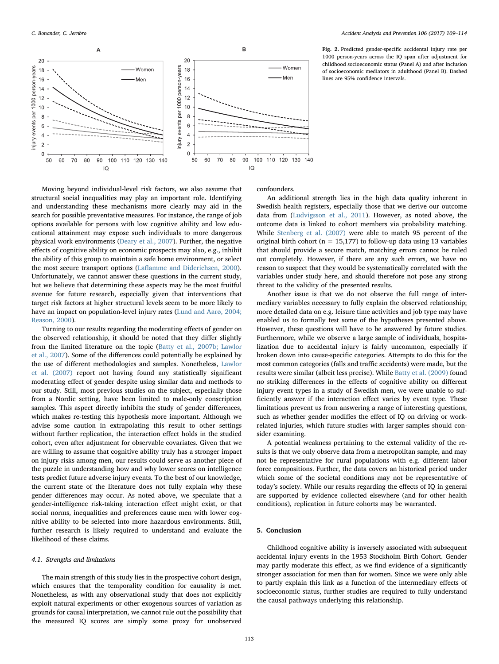<span id="page-4-0"></span>

Moving beyond individual-level risk factors, we also assume that structural social inequalities may play an important role. Identifying and understanding these mechanisms more clearly may aid in the search for possible preventative measures. For instance, the range of job options available for persons with low cognitive ability and low educational attainment may expose such individuals to more dangerous physical work environments ([Deary et al., 2007\)](#page-5-24). Further, the negative effects of cognitive ability on economic prospects may also, e.g., inhibit the ability of this group to maintain a safe home environment, or select the most secure transport options (Lafl[amme and Diderichsen, 2000](#page-5-26)). Unfortunately, we cannot answer these questions in the current study, but we believe that determining these aspects may be the most fruitful avenue for future research, especially given that interventions that

target risk factors at higher structural levels seem to be more likely to have an impact on population-level injury rates [\(Lund and Aarø, 2004;](#page-5-36) [Reason, 2000\)](#page-5-36). Turning to our results regarding the moderating effects of gender on

the observed relationship, it should be noted that they differ slightly from the limited literature on the topic [\(Batty et al., 2007b; Lawlor](#page-5-37) [et al., 2007\)](#page-5-37). Some of the differences could potentially be explained by the use of different methodologies and samples. Nonetheless, [Lawlor](#page-5-38) [et al. \(2007\)](#page-5-38) report not having found any statistically significant moderating effect of gender despite using similar data and methods to our study. Still, most previous studies on the subject, especially those from a Nordic setting, have been limited to male-only conscription samples. This aspect directly inhibits the study of gender differences, which makes re-testing this hypothesis more important. Although we advise some caution in extrapolating this result to other settings without further replication, the interaction effect holds in the studied cohort, even after adjustment for observable covariates. Given that we are willing to assume that cognitive ability truly has a stronger impact on injury risks among men, our results could serve as another piece of the puzzle in understanding how and why lower scores on intelligence tests predict future adverse injury events. To the best of our knowledge, the current state of the literature does not fully explain why these gender differences may occur. As noted above, we speculate that a gender-intelligence risk-taking interaction effect might exist, or that social norms, inequalities and preferences cause men with lower cognitive ability to be selected into more hazardous environments. Still, further research is likely required to understand and evaluate the likelihood of these claims.

## 4.1. Strengths and limitations

The main strength of this study lies in the prospective cohort design, which ensures that the temporality condition for causality is met. Nonetheless, as with any observational study that does not explicitly exploit natural experiments or other exogenous sources of variation as grounds for causal interpretation, we cannot rule out the possibility that the measured IQ scores are simply some proxy for unobserved

Fig. 2. Predicted gender-specific accidental injury rate per 1000 person-years across the IQ span after adjustment for childhood socioeconomic status (Panel A) and after inclusion of socioeconomic mediators in adulthood (Panel B). Dashed lines are 95% confidence intervals.

confounders.

An additional strength lies in the high data quality inherent in Swedish health registers, especially those that we derive our outcome data from ([Ludvigsson et al., 2011\)](#page-5-39). However, as noted above, the outcome data is linked to cohort members via probability matching. While [Stenberg et al. \(2007\)](#page-5-28) were able to match 95 percent of the original birth cohort ( $n = 15,177$ ) to follow-up data using 13 variables that should provide a secure match, matching errors cannot be ruled out completely. However, if there are any such errors, we have no reason to suspect that they would be systematically correlated with the variables under study here, and should therefore not pose any strong threat to the validity of the presented results.

Another issue is that we do not observe the full range of intermediary variables necessary to fully explain the observed relationship; more detailed data on e.g. leisure time activities and job type may have enabled us to formally test some of the hypotheses presented above. However, these questions will have to be answered by future studies. Furthermore, while we observe a large sample of individuals, hospitalization due to accidental injury is fairly uncommon, especially if broken down into cause-specific categories. Attempts to do this for the most common categories (falls and traffic accidents) were made, but the results were similar (albeit less precise). While [Batty et al. \(2009\)](#page-5-27) found no striking differences in the effects of cognitive ability on different injury event types in a study of Swedish men, we were unable to sufficiently answer if the interaction effect varies by event type. These limitations prevent us from answering a range of interesting questions, such as whether gender modifies the effect of IQ on driving or workrelated injuries, which future studies with larger samples should consider examining.

A potential weakness pertaining to the external validity of the results is that we only observe data from a metropolitan sample, and may not be representative for rural populations with e.g. different labor force compositions. Further, the data covers an historical period under which some of the societal conditions may not be representative of today's society. While our results regarding the effects of IQ in general are supported by evidence collected elsewhere (and for other health conditions), replication in future cohorts may be warranted.

# 5. Conclusion

Childhood cognitive ability is inversely associated with subsequent accidental injury events in the 1953 Stockholm Birth Cohort. Gender may partly moderate this effect, as we find evidence of a significantly stronger association for men than for women. Since we were only able to partly explain this link as a function of the intermediary effects of socioeconomic status, further studies are required to fully understand the causal pathways underlying this relationship.